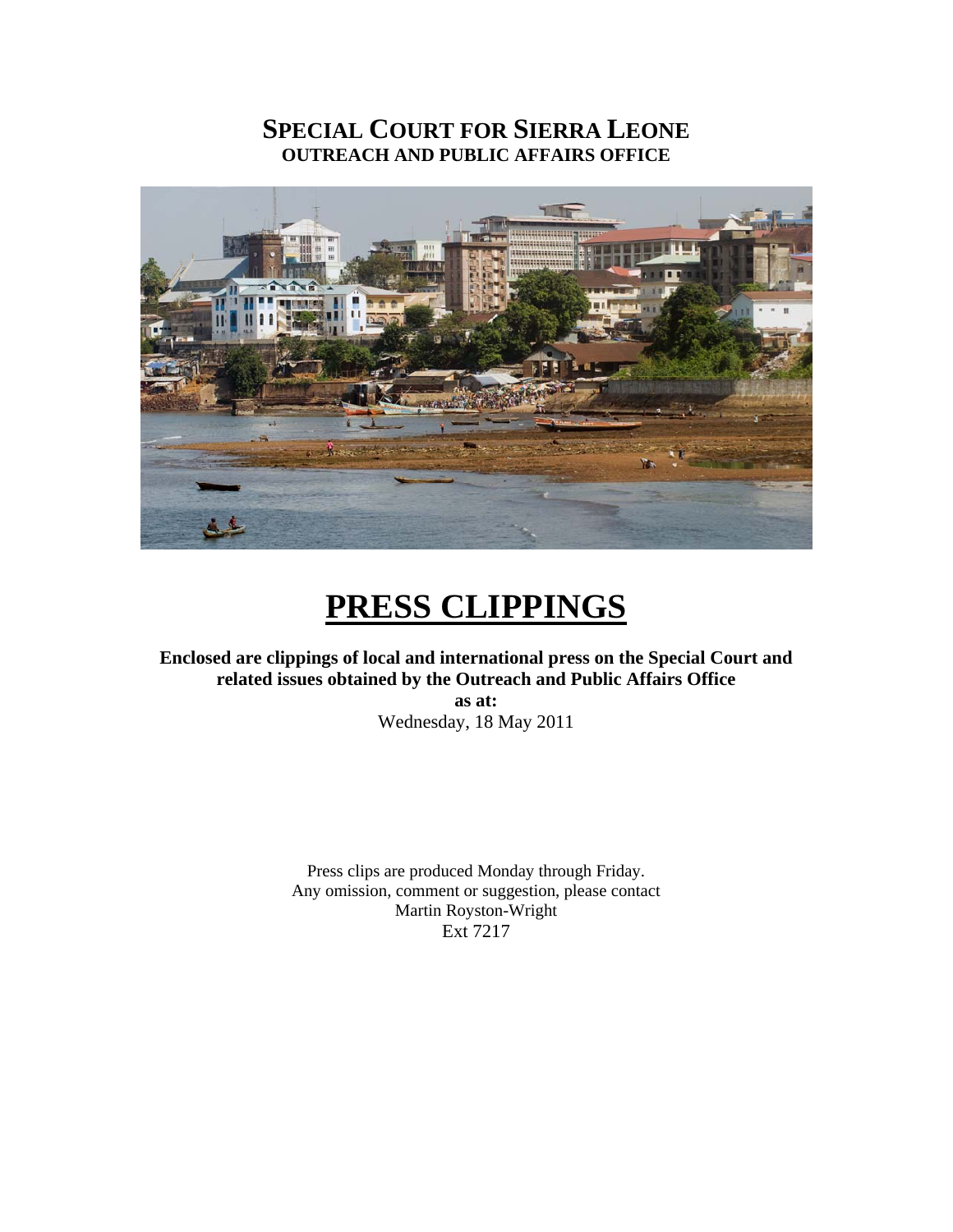# **SPECIAL COURT FOR SIERRA LEONE OUTREACH AND PUBLIC AFFAIRS OFFICE**



# **PRESS CLIPPINGS**

**Enclosed are clippings of local and international press on the Special Court and related issues obtained by the Outreach and Public Affairs Office** 

**as at:**  Wednesday, 18 May 2011

Press clips are produced Monday through Friday. Any omission, comment or suggestion, please contact Martin Royston-Wright Ext 7217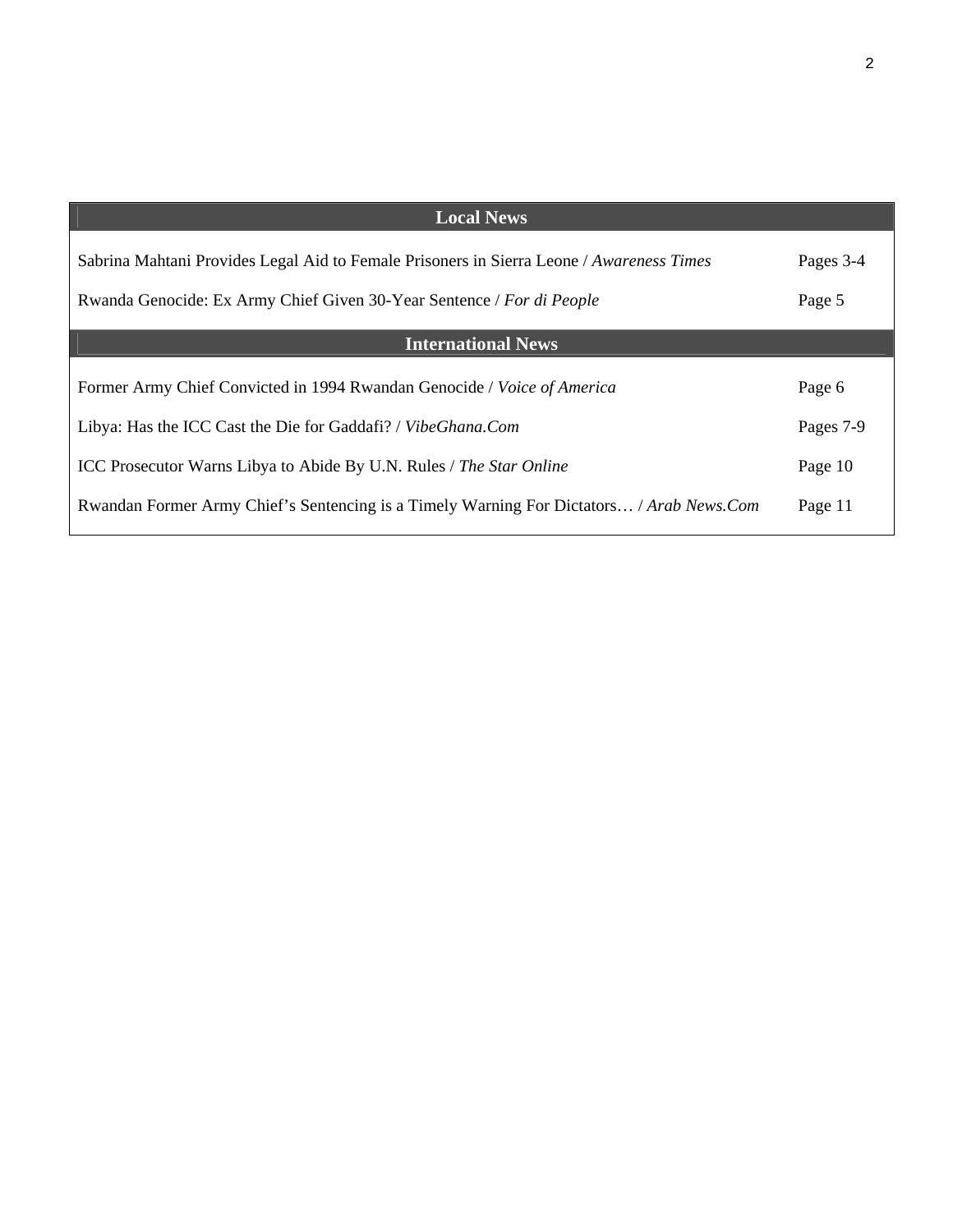| <b>Local News</b>                                                                        |           |
|------------------------------------------------------------------------------------------|-----------|
| Sabrina Mahtani Provides Legal Aid to Female Prisoners in Sierra Leone / Awareness Times | Pages 3-4 |
| Rwanda Genocide: Ex Army Chief Given 30-Year Sentence / For di People                    | Page 5    |
|                                                                                          |           |
| <b>International News</b>                                                                |           |
| Former Army Chief Convicted in 1994 Rwandan Genocide / Voice of America                  | Page 6    |
| Libya: Has the ICC Cast the Die for Gaddafi? / VibeGhana.Com                             | Pages 7-9 |
| ICC Prosecutor Warns Libya to Abide By U.N. Rules / The Star Online                      | Page 10   |
| Rwandan Former Army Chief's Sentencing is a Timely Warning For Dictators / Arab News.Com | Page 11   |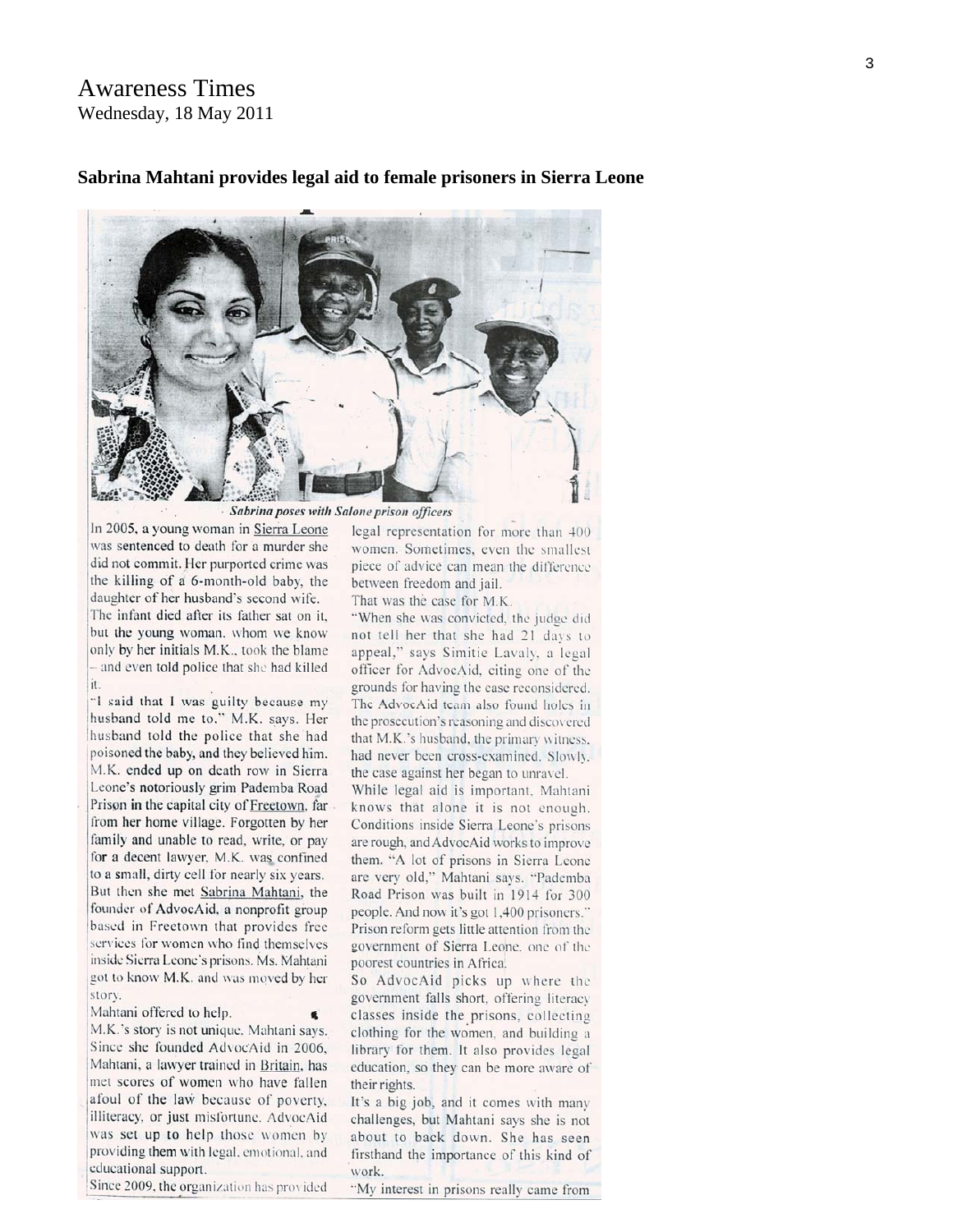### **Awareness Times** Wednesday, 18 May 2011

#### Sabrina Mahtani provides legal aid to female prisoners in Sierra Leone



Sabrina poses with Salone prison officers

In 2005, a young woman in Sierra Leone was sentenced to death for a murder she did not commit. Her purported crime was the killing of a 6-month-old baby, the daughter of her husband's second wife. The infant died after its father sat on it, but the young woman, whom we know only by her initials M.K., took the blame - and even told police that she had killed it.

"I said that I was guilty because my husband told me to," M.K. says. Her husband told the police that she had poisoned the baby, and they believed him. M.K. ended up on death row in Sierra Leone's notoriously grim Pademba Road Prison in the capital city of Freetown, far from her home village. Forgotten by her family and unable to read, write, or pay for a decent lawyer, M.K. was confined to a small, dirty cell for nearly six years. But then she met Sabrina Mahtani, the founder of AdvocAid, a nonprofit group based in Freetown that provides free services for women who find themselves inside Sierra Leone's prisons. Ms. Mahtani got to know M.K. and was moved by her story.

Mahtani offered to help.

M.K.'s story is not unique. Mahtani says. Since she founded AdvocAid in 2006. Mahtani, a lawyer trained in Britain, has met scores of women who have fallen afoul of the law because of poverty. illiteracy, or just misfortune. AdvocAid was set up to help those women by providing them with legal, emotional, and educational support.

Since 2009, the organization has provided

legal representation for more than 400 women. Sometimes, even the smallest piece of advice can mean the difference between freedom and jail.

That was the case for M.K.

"When she was convicted, the judge did not tell her that she had 21 days to appeal," says Simitie Lavaly, a legal officer for AdvocAid, citing one of the grounds for having the case reconsidered. The AdvocAid team also found holes in the prosecution's reasoning and discovered that M.K.'s husband, the primary witness. had never been cross-examined. Slowly, the case against her began to unravel.

While legal aid is important, Mahtani knows that alone it is not enough. Conditions inside Sierra Leone's prisons are rough, and AdvocAid works to improve them. "A lot of prisons in Sierra Leone are very old," Mahtani says. "Pademba Road Prison was built in 1914 for 300 people. And now it's got 1,400 prisoners." Prison reform gets little attention from the government of Sierra Leone, one of the poorest countries in Africa.

So AdvocAid picks up where the government falls short, offering literacy classes inside the prisons, collecting clothing for the women, and building a library for them. It also provides legal education, so they can be more aware of their rights.

It's a big job, and it comes with many challenges, but Mahtani says she is not about to back down. She has seen firsthand the importance of this kind of work.

"My interest in prisons really came from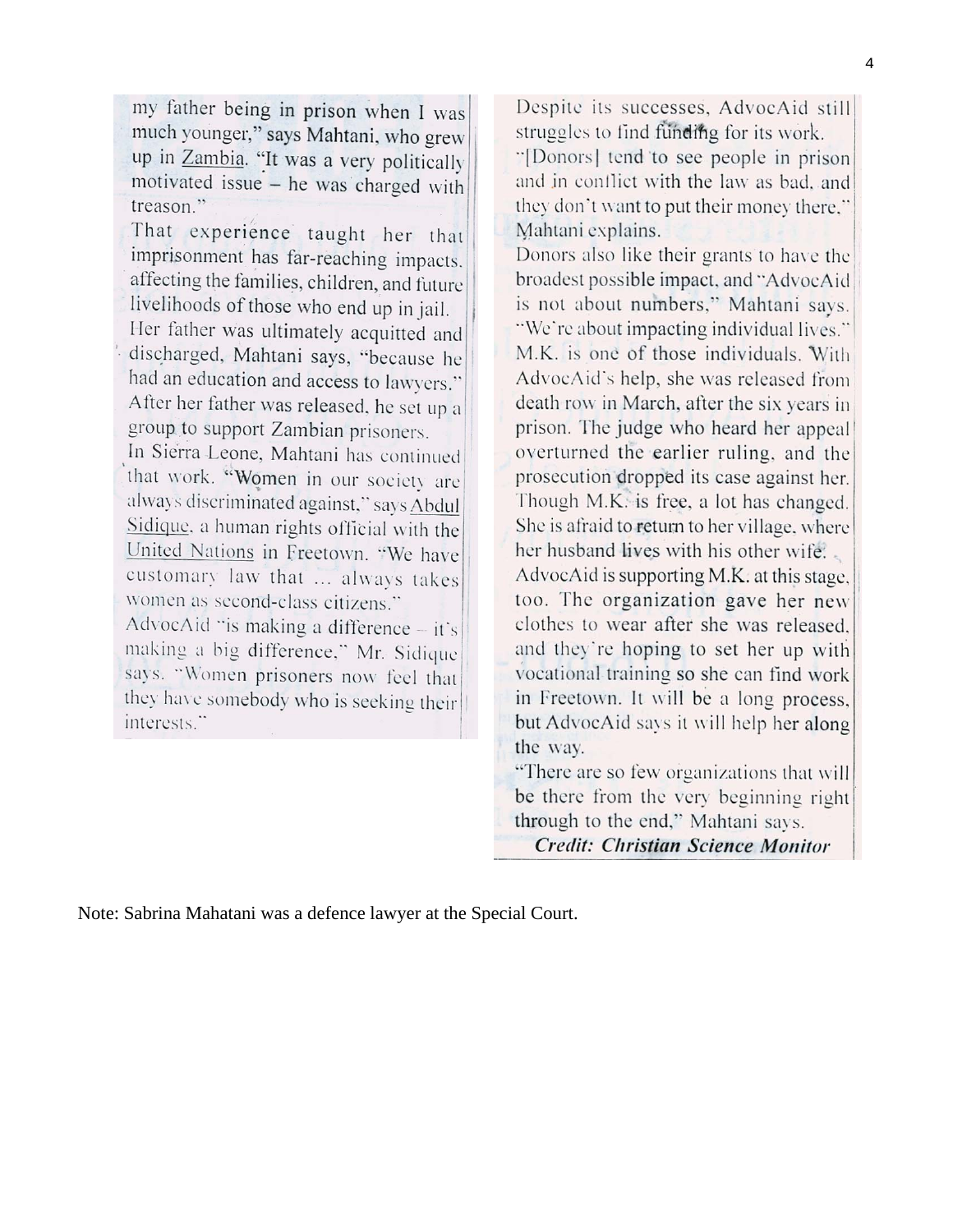my father being in prison when I was much younger," says Mahtani, who grew up in Zambia. "It was a very politically motivated issue - he was charged with treason"

That experience taught her that imprisonment has far-reaching impacts. affecting the families, children, and future livelihoods of those who end up in jail.

Her father was ultimately acquitted and discharged, Mahtani says, "because he had an education and access to lawyers." After her father was released, he set up a group to support Zambian prisoners.

In Sierra Leone, Mahtani has continued that work. "Women in our society are always discriminated against," says Abdul Sidique, a human rights official with the United Nations in Freetown. "We have customary law that ... always takes women as second-class citizens."

AdvocAid "is making a difference - it's making a big difference," Mr. Sidique says. "Women prisoners now feel that they have somebody who is seeking their interests."

Despite its successes, AdvocAid still struggles to find funding for its work.

"[Donors] tend to see people in prison and in conflict with the law as bad, and they don't want to put their money there." Mahtani explains.

Donors also like their grants to have the broadest possible impact, and "AdvocAid is not about numbers," Mahtani says. "We're about impacting individual lives." M.K. is one of those individuals. With AdvocAid's help, she was released from death row in March, after the six years in prison. The judge who heard her appeal overturned the earlier ruling, and the prosecution dropped its case against her. Though M.K. is free, a lot has changed. She is afraid to return to her village, where her husband lives with his other wife. AdvocAid is supporting M.K. at this stage. too. The organization gave her new clothes to wear after she was released. and they're hoping to set her up with vocational training so she can find work in Freetown. It will be a long process,

but AdvocAid says it will help her along the way.

"There are so few organizations that will be there from the very beginning right through to the end," Mahtani says. **Credit: Christian Science Monitor** 

Note: Sabrina Mahatani was a defence lawyer at the Special Court.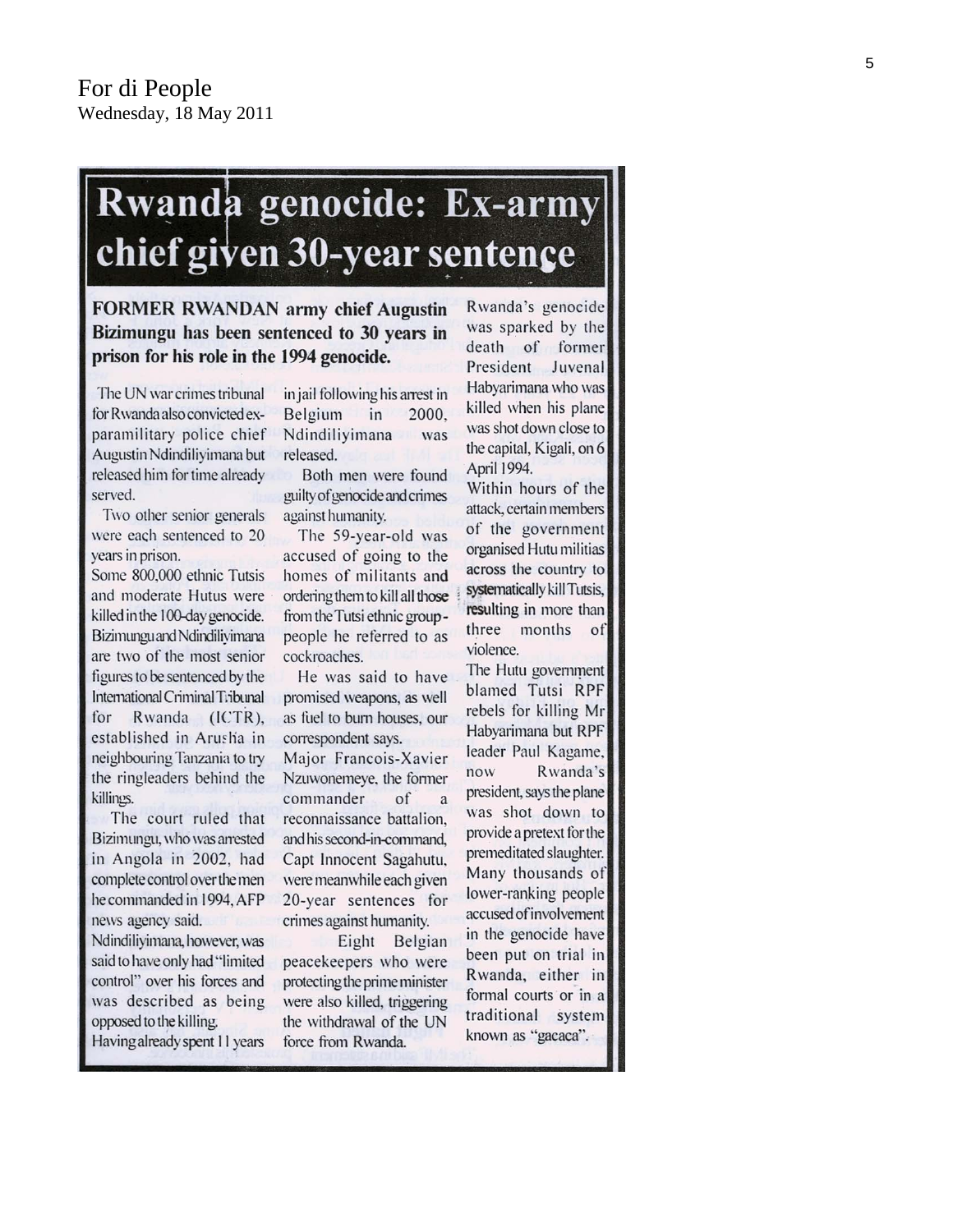# Rwanda genocide: Ex-army chief given 30-year sentence

**FORMER RWANDAN army chief Augustin** Bizimungu has been sentenced to 30 years in prison for his role in the 1994 genocide.

The UN war crimes tribunal for Rwanda also convicted exparamilitary police chief Augustin Ndindiliyimana but released him for time already served.

Two other senior generals were each sentenced to 20 years in prison.

Some 800,000 ethnic Tutsis and moderate Hutus were killed in the 100-day genocide. Bizimunguand Ndindilivimana are two of the most senior figures to be sentenced by the International Criminal Tribunal for Rwanda (ICTR), established in Arusha in neighbouring Tanzania to try the ringleaders behind the killings.

The court ruled that Bizimungu, who was arrested in Angola in 2002, had complete control over the men he commanded in 1994, AFP news agency said.

Ndindiliyimana, however, was said to have only had "limited control" over his forces and was described as being opposed to the killing.

Having already spent 11 years

in jail following his arrest in Belgium in 2000. Ndindiliyimana was released.

Both men were found guilty of genocide and crimes against humanity.

The 59-year-old was accused of going to the homes of militants and ordering them to kill all those from the Tutsi ethnic grouppeople he referred to as cockroaches.

He was said to have promised weapons, as well as fuel to burn houses, our correspondent says.

Major Francois-Xavier Nzuwonemeye, the former commander of  $\overline{a}$ reconnaissance battalion. and his second-in-command, Capt Innocent Sagahutu, were meanwhile each given 20-year sentences for crimes against humanity.

Eight Belgian peacekeepers who were protecting the prime minister were also killed, triggering the withdrawal of the UN force from Rwanda.

Rwanda's genocide was sparked by the death of former President Juvenal Habyarimana who was killed when his plane was shot down close to the capital, Kigali, on 6 April 1994.

Within hours of the attack, certain members of the government organised Hutu militias across the country to systematically kill Tutsis, resulting in more than three months  $\circ$ f violence.

The Hutu government blamed Tutsi RPF rebels for killing Mr Habyarimana but RPF leader Paul Kagame, Rwanda's now president, says the plane was shot down to provide a pretext for the premeditated slaughter. Many thousands of lower-ranking people accused of involvement in the genocide have been put on trial in Rwanda, either in formal courts or in a traditional system known as "gacaca".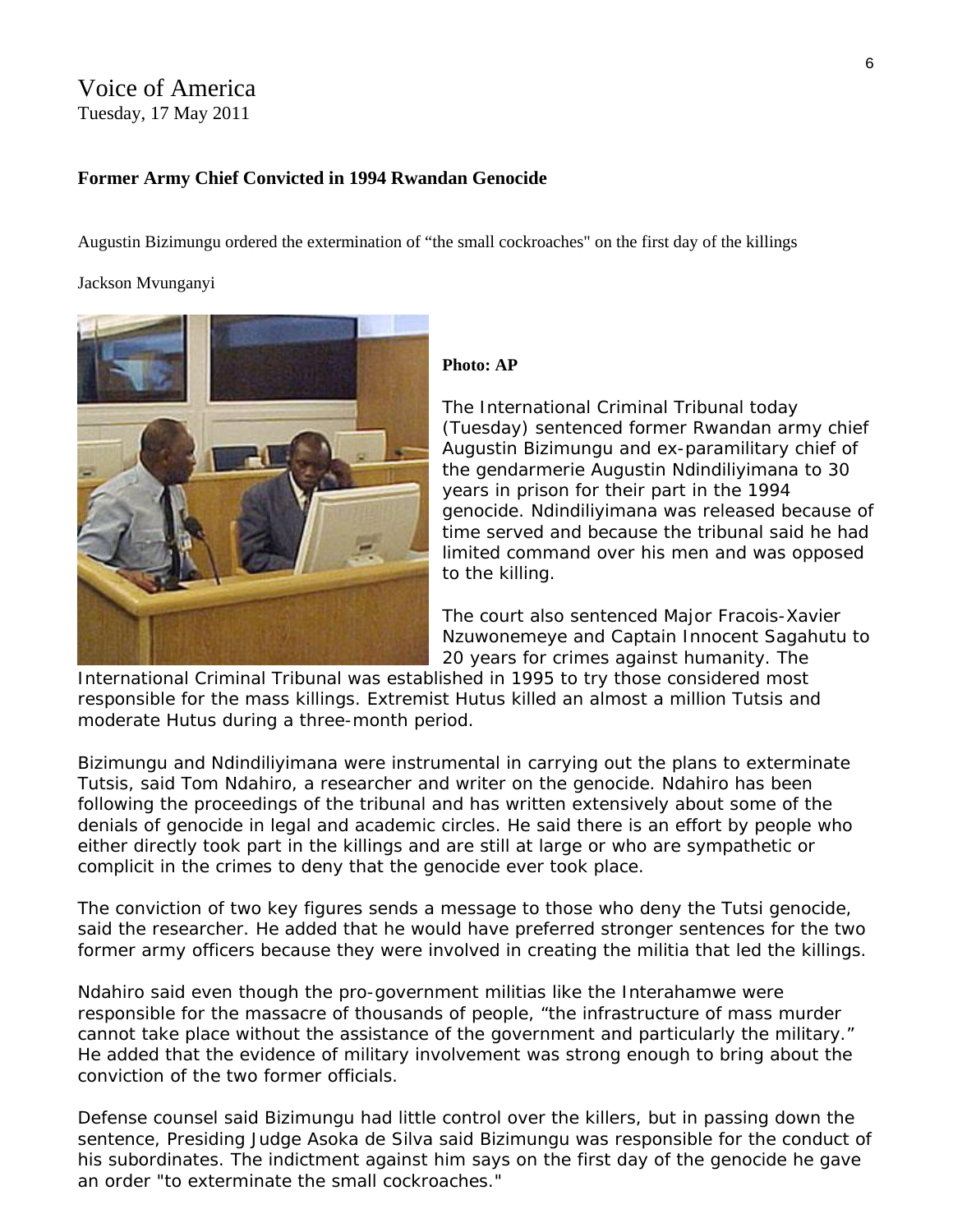#### Voice of America Tuesday, 17 May 2011

#### **Former Army Chief Convicted in 1994 Rwandan Genocide**

Augustin Bizimungu ordered the extermination of "the small cockroaches" on the first day of the killings

#### Jackson Mvunganyi



#### **Photo: AP**

The International Criminal Tribunal today (Tuesday) sentenced former Rwandan army chief Augustin Bizimungu and ex-paramilitary chief of the gendarmerie Augustin Ndindiliyimana to 30 years in prison for their part in the 1994 genocide. Ndindiliyimana was released because o f time served and because the tribunal said he had limited command over his men and was oppo sed to the killing.

The court also sentenced Major Fracois-Xavier Nzuwonemeye and Captain Innocent Sagahutu to 20 years for crimes against humanity. The

International Criminal Tribunal was establi shed in 1995 to try those considered most responsible for the mass killings. Extremist Hutus killed an almost a million Tutsis and moderate Hutus during a three-month period.

Bizimungu and Ndindiliyimana were instrumental in carrying out the plans to exterminate Tutsis, said Tom Ndahiro, a researcher and writer on the genocide. Ndahiro has been following the proceedings of the tribunal and has written extensively about some of the denials of genocide in legal and academic circles. He said there is an effort by people who either directly took part in the killings and are still at large or who are sympathetic or complicit in the crimes to deny that the genocide ever took place.

The conviction of two key figures sends a message to those who deny the Tutsi genocide, said the researcher. He added that he would have preferred stronger sentences for the two former army officers because they were involved in creating the militia that led the killings.

Ndahiro said even though the pro-government militias like the Interahamwe were responsible for the massacre of thousands of people, "the infrastructure of mass murder cannot take place without the assistance of the government and particularly the military." He added that the evidence of military involvement was strong enough to bring about the conviction of the two former officials.

Defense counsel said Bizimungu had little control over the killers, but in passing down the sentence, Presiding Judge Asoka de Silva said Bizimungu was responsible for the conduct of his subordinates. The indictment against him says on the first day of the genocide he gave an order "to exterminate the small cockroaches."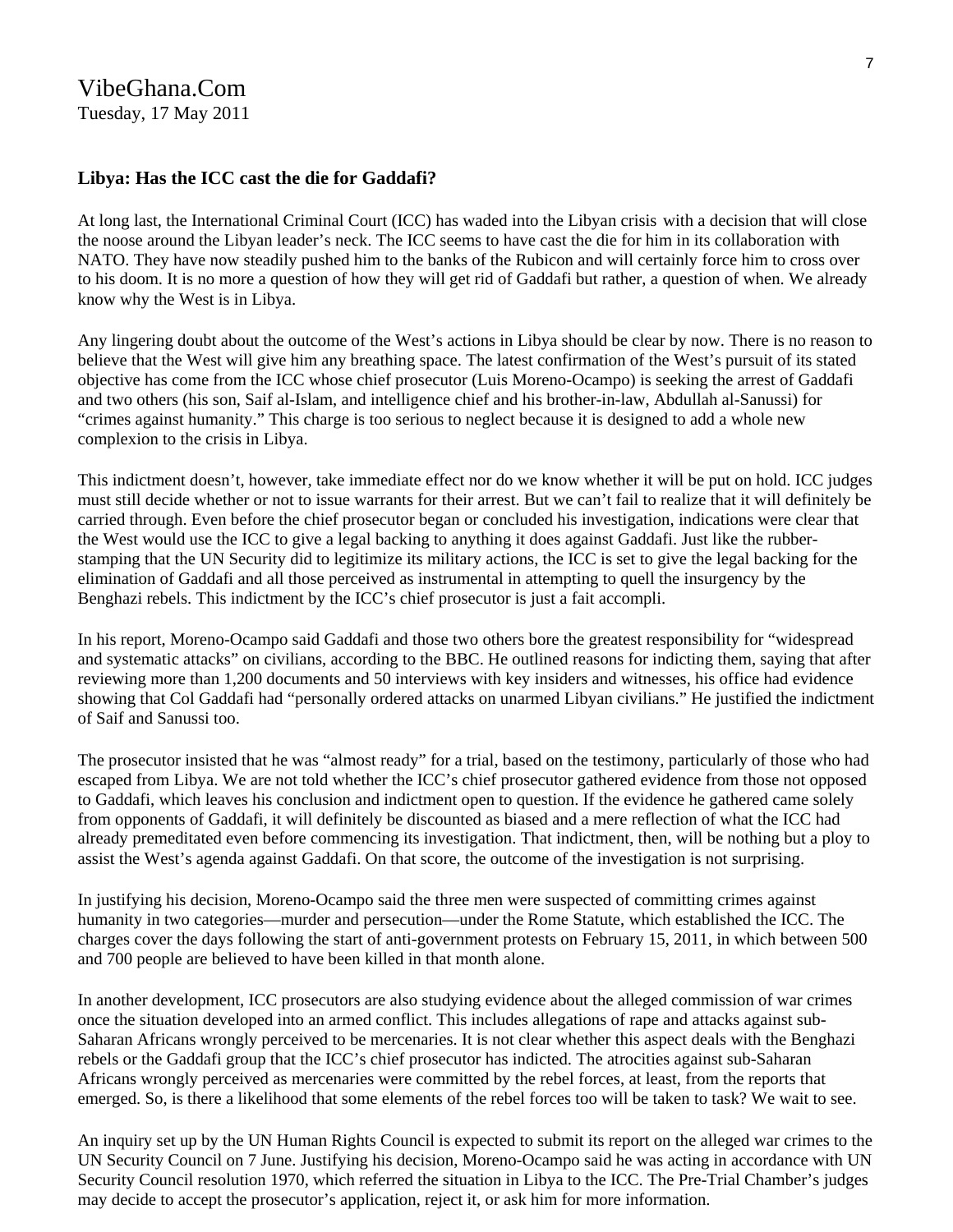#### **Libya: Has the ICC cast the die for Gaddafi?**

At long last, the International Criminal Court (ICC) has waded into the Libyan crisis with a decision that will close the noose around the Libyan leader's neck. The ICC seems to have cast the die for him in its collaboration with NATO. They have now steadily pushed him to the banks of the Rubicon and will certainly force him to cross over to his doom. It is no more a question of how they will get rid of Gaddafi but rather, a question of when. We already know why the West is in Libya.

Any lingering doubt about the outcome of the West's actions in Libya should be clear by now. There is no reason to believe that the West will give him any breathing space. The latest confirmation of the West's pursuit of its stated objective has come from the ICC whose chief prosecutor (Luis Moreno-Ocampo) is seeking the arrest of Gaddafi and two others (his son, Saif al-Islam, and intelligence chief and his brother-in-law, Abdullah al-Sanussi) for "crimes against humanity." This charge is too serious to neglect because it is designed to add a whole new complexion to the crisis in Libya.

This indictment doesn't, however, take immediate effect nor do we know whether it will be put on hold. ICC judges must still decide whether or not to issue warrants for their arrest. But we can't fail to realize that it will definitely be carried through. Even before the chief prosecutor began or concluded his investigation, indications were clear that the West would use the ICC to give a legal backing to anything it does against Gaddafi. Just like the rubberstamping that the UN Security did to legitimize its military actions, the ICC is set to give the legal backing for the elimination of Gaddafi and all those perceived as instrumental in attempting to quell the insurgency by the Benghazi rebels. This indictment by the ICC's chief prosecutor is just a fait accompli.

In his report, Moreno-Ocampo said Gaddafi and those two others bore the greatest responsibility for "widespread and systematic attacks" on civilians, according to the BBC. He outlined reasons for indicting them, saying that after reviewing more than 1,200 documents and 50 interviews with key insiders and witnesses, his office had evidence showing that Col Gaddafi had "personally ordered attacks on unarmed Libyan civilians." He justified the indictment of Saif and Sanussi too.

The prosecutor insisted that he was "almost ready" for a trial, based on the testimony, particularly of those who had escaped from Libya. We are not told whether the ICC's chief prosecutor gathered evidence from those not opposed to Gaddafi, which leaves his conclusion and indictment open to question. If the evidence he gathered came solely from opponents of Gaddafi, it will definitely be discounted as biased and a mere reflection of what the ICC had already premeditated even before commencing its investigation. That indictment, then, will be nothing but a ploy to assist the West's agenda against Gaddafi. On that score, the outcome of the investigation is not surprising.

In justifying his decision, Moreno-Ocampo said the three men were suspected of committing crimes against humanity in two categories—murder and persecution—under the Rome Statute, which established the ICC. The charges cover the days following the start of anti-government protests on February 15, 2011, in which between 500 and 700 people are believed to have been killed in that month alone.

In another development, ICC prosecutors are also studying evidence about the alleged commission of war crimes once the situation developed into an armed conflict. This includes allegations of rape and attacks against sub-Saharan Africans wrongly perceived to be mercenaries. It is not clear whether this aspect deals with the Benghazi rebels or the Gaddafi group that the ICC's chief prosecutor has indicted. The atrocities against sub-Saharan Africans wrongly perceived as mercenaries were committed by the rebel forces, at least, from the reports that emerged. So, is there a likelihood that some elements of the rebel forces too will be taken to task? We wait to see.

An inquiry set up by the UN Human Rights Council is expected to submit its report on the alleged war crimes to the UN Security Council on 7 June. Justifying his decision, Moreno-Ocampo said he was acting in accordance with UN Security Council resolution 1970, which referred the situation in Libya to the ICC. The Pre-Trial Chamber's judges may decide to accept the prosecutor's application, reject it, or ask him for more information.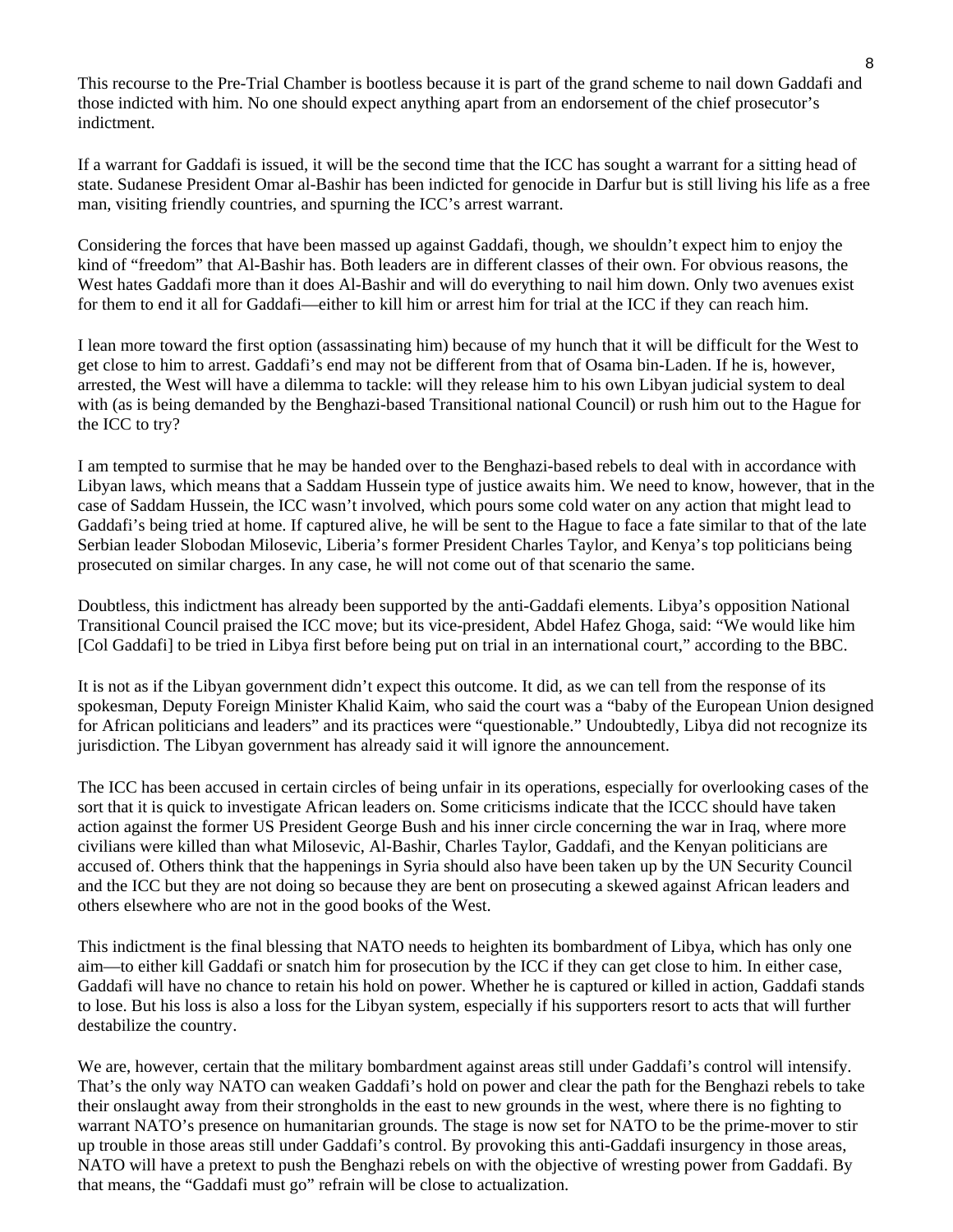This recourse to the Pre-Trial Chamber is bootless because it is part of the grand scheme to nail down Gaddafi and those indicted with him. No one should expect anything apart from an endorsement of the chief prosecutor's indictment.

If a warrant for Gaddafi is issued, it will be the second time that the ICC has sought a warrant for a sitting head of state. Sudanese President Omar al-Bashir has been indicted for genocide in Darfur but is still living his life as a free man, visiting friendly countries, and spurning the ICC's arrest warrant.

Considering the forces that have been massed up against Gaddafi, though, we shouldn't expect him to enjoy the kind of "freedom" that Al-Bashir has. Both leaders are in different classes of their own. For obvious reasons, the West hates Gaddafi more than it does Al-Bashir and will do everything to nail him down. Only two avenues exist for them to end it all for Gaddafi—either to kill him or arrest him for trial at the ICC if they can reach him.

I lean more toward the first option (assassinating him) because of my hunch that it will be difficult for the West to get close to him to arrest. Gaddafi's end may not be different from that of Osama bin-Laden. If he is, however, arrested, the West will have a dilemma to tackle: will they release him to his own Libyan judicial system to deal with (as is being demanded by the Benghazi-based Transitional national Council) or rush him out to the Hague for the ICC to try?

I am tempted to surmise that he may be handed over to the Benghazi-based rebels to deal with in accordance with Libyan laws, which means that a Saddam Hussein type of justice awaits him. We need to know, however, that in the case of Saddam Hussein, the ICC wasn't involved, which pours some cold water on any action that might lead to Gaddafi's being tried at home. If captured alive, he will be sent to the Hague to face a fate similar to that of the late Serbian leader Slobodan Milosevic, Liberia's former President Charles Taylor, and Kenya's top politicians being prosecuted on similar charges. In any case, he will not come out of that scenario the same.

Doubtless, this indictment has already been supported by the anti-Gaddafi elements. Libya's opposition National Transitional Council praised the ICC move; but its vice-president, Abdel Hafez Ghoga, said: "We would like him [Col Gaddafi] to be tried in Libya first before being put on trial in an international court," according to the BBC.

It is not as if the Libyan government didn't expect this outcome. It did, as we can tell from the response of its spokesman, Deputy Foreign Minister Khalid Kaim, who said the court was a "baby of the European Union designed for African politicians and leaders" and its practices were "questionable." Undoubtedly, Libya did not recognize its jurisdiction. The Libyan government has already said it will ignore the announcement.

The ICC has been accused in certain circles of being unfair in its operations, especially for overlooking cases of the sort that it is quick to investigate African leaders on. Some criticisms indicate that the ICCC should have taken action against the former US President George Bush and his inner circle concerning the war in Iraq, where more civilians were killed than what Milosevic, Al-Bashir, Charles Taylor, Gaddafi, and the Kenyan politicians are accused of. Others think that the happenings in Syria should also have been taken up by the UN Security Council and the ICC but they are not doing so because they are bent on prosecuting a skewed against African leaders and others elsewhere who are not in the good books of the West.

This indictment is the final blessing that NATO needs to heighten its bombardment of Libya, which has only one aim—to either kill Gaddafi or snatch him for prosecution by the ICC if they can get close to him. In either case, Gaddafi will have no chance to retain his hold on power. Whether he is captured or killed in action, Gaddafi stands to lose. But his loss is also a loss for the Libyan system, especially if his supporters resort to acts that will further destabilize the country.

We are, however, certain that the military bombardment against areas still under Gaddafi's control will intensify. That's the only way NATO can weaken Gaddafi's hold on power and clear the path for the Benghazi rebels to take their onslaught away from their strongholds in the east to new grounds in the west, where there is no fighting to warrant NATO's presence on humanitarian grounds. The stage is now set for NATO to be the prime-mover to stir up trouble in those areas still under Gaddafi's control. By provoking this anti-Gaddafi insurgency in those areas, NATO will have a pretext to push the Benghazi rebels on with the objective of wresting power from Gaddafi. By that means, the "Gaddafi must go" refrain will be close to actualization.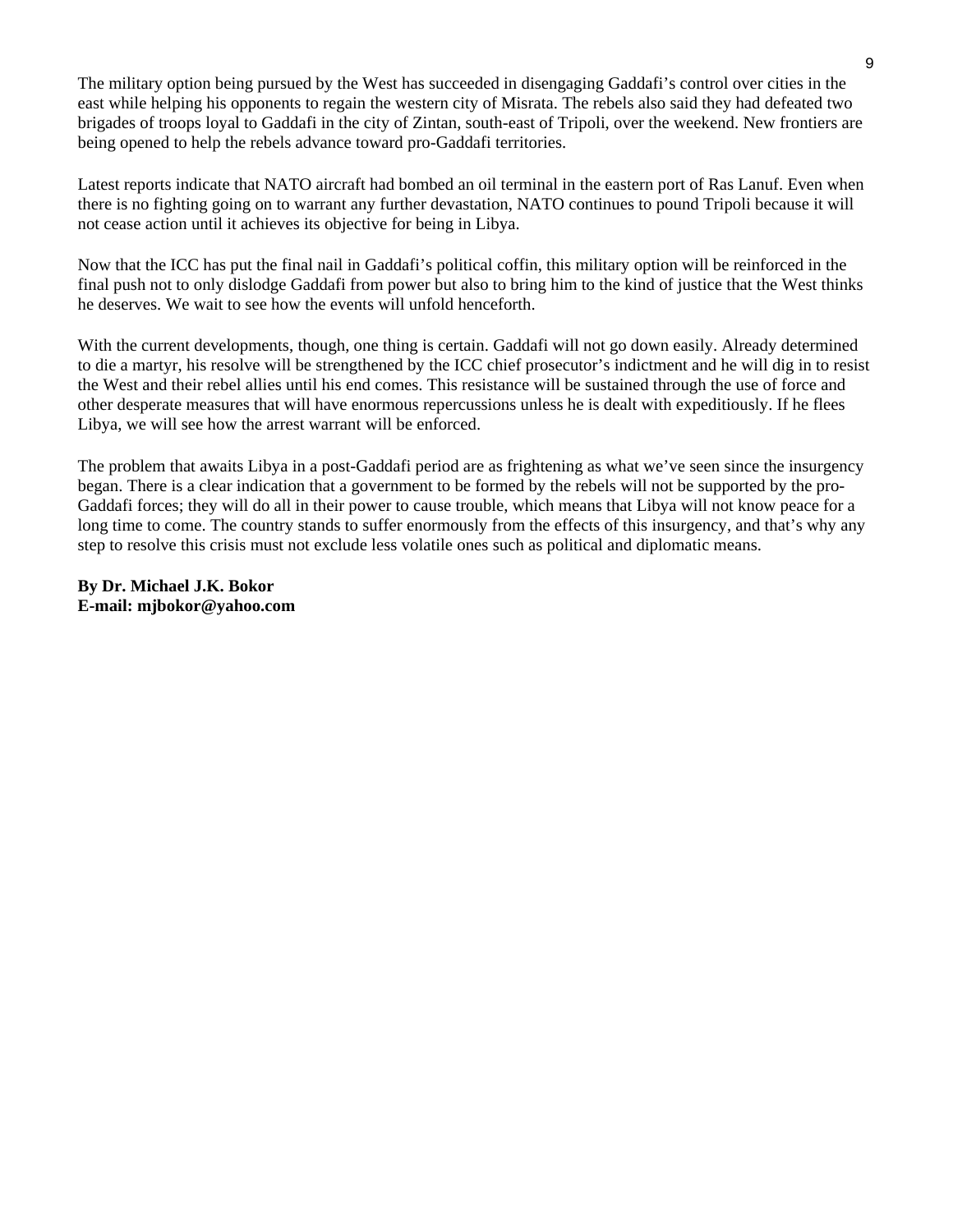The military option being pursued by the West has succeeded in disengaging Gaddafi's control over cities in the east while helping his opponents to regain the western city of Misrata. The rebels also said they had defeated two brigades of troops loyal to Gaddafi in the city of Zintan, south-east of Tripoli, over the weekend. New frontiers are being opened to help the rebels advance toward pro-Gaddafi territories.

Latest reports indicate that NATO aircraft had bombed an oil terminal in the eastern port of Ras Lanuf. Even when there is no fighting going on to warrant any further devastation, NATO continues to pound Tripoli because it will not cease action until it achieves its objective for being in Libya.

Now that the ICC has put the final nail in Gaddafi's political coffin, this military option will be reinforced in the final push not to only dislodge Gaddafi from power but also to bring him to the kind of justice that the West thinks he deserves. We wait to see how the events will unfold henceforth.

With the current developments, though, one thing is certain. Gaddafi will not go down easily. Already determined to die a martyr, his resolve will be strengthened by the ICC chief prosecutor's indictment and he will dig in to resist the West and their rebel allies until his end comes. This resistance will be sustained through the use of force and other desperate measures that will have enormous repercussions unless he is dealt with expeditiously. If he flees Libya, we will see how the arrest warrant will be enforced.

The problem that awaits Libya in a post-Gaddafi period are as frightening as what we've seen since the insurgency began. There is a clear indication that a government to be formed by the rebels will not be supported by the pro-Gaddafi forces; they will do all in their power to cause trouble, which means that Libya will not know peace for a long time to come. The country stands to suffer enormously from the effects of this insurgency, and that's why any step to resolve this crisis must not exclude less volatile ones such as political and diplomatic means.

**By Dr. Michael J.K. Bokor E-mail: mjbokor@yahoo.com**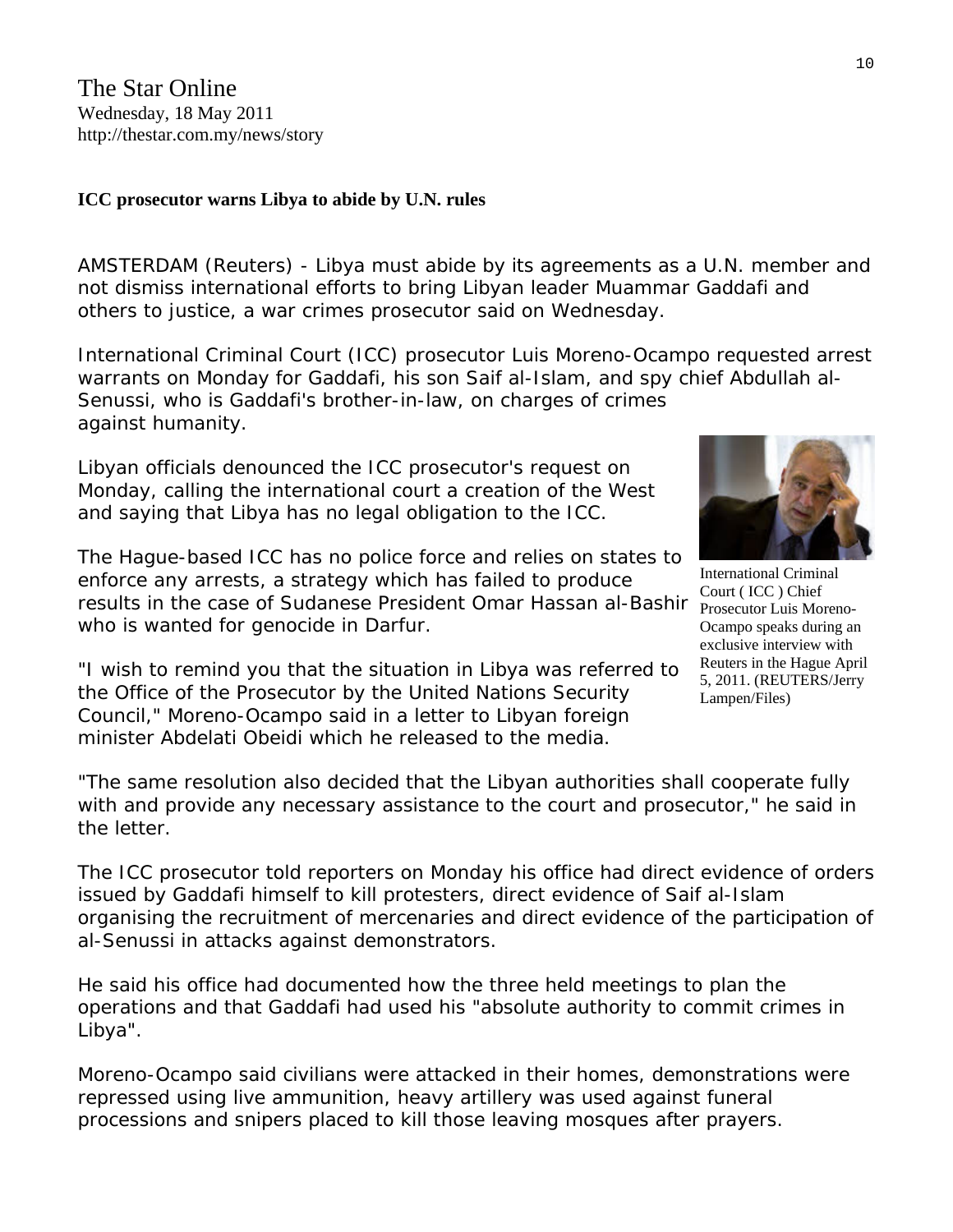## **ICC prosecutor warns Libya to abide by U.N. rules**

AMSTERDAM (Reuters) - Libya must abide by its agreements as a U.N. member and not dismiss international efforts to bring Libyan leader Muammar Gaddafi and others to justice, a war crimes prosecutor said on Wednesday.

International Criminal Court (ICC) prosecutor Luis Moreno-Ocampo requested arrest warrants on Monday for Gaddafi, his son Saif al-Islam, and spy chief Abdullah al-Senussi, who is Gaddafi's brother-in-law, on charges of crimes against humanity.

Libyan officials denounced the ICC prosecutor's request on Monday, calling the international court a creation of the West and saying that Libya has no legal obligation to the ICC.

The Hague-based ICC has no police force and relies on states to enforce any arrests, a strategy which has failed to produce results in the case of Sudanese President Omar Hassan al-Bashir who is wanted for genocide in Darfur.

"I wish to remind you that the situation in Libya was referred to the Office of the Prosecutor by the United Nations Security Council," Moreno-Ocampo said in a letter to Libyan foreign minister Abdelati Obeidi which he released to the media.



International Criminal Court ( ICC ) Chief Prosecutor Luis Moreno-Ocampo speaks during an exclusive interview with Reuters in the Hague April 5, 2011. (REUTERS/Jerry Lampen/Files)

"The same resolution also decided that the Libyan authorities shall cooperate fully with and provide any necessary assistance to the court and prosecutor," he said in the letter.

The ICC prosecutor told reporters on Monday his office had direct evidence of orders issued by Gaddafi himself to kill protesters, direct evidence of Saif al-Islam organising the recruitment of mercenaries and direct evidence of the participation of al-Senussi in attacks against demonstrators.

He said his office had documented how the three held meetings to plan the operations and that Gaddafi had used his "absolute authority to commit crimes in Libya".

Moreno-Ocampo said civilians were attacked in their homes, demonstrations were repressed using live ammunition, heavy artillery was used against funeral processions and snipers placed to kill those leaving mosques after prayers.